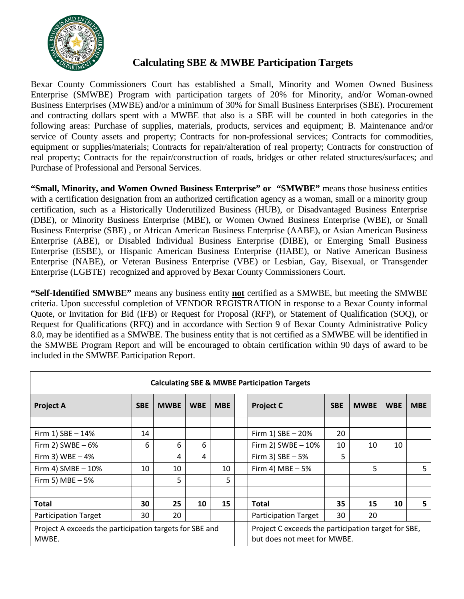

## **Calculating SBE & MWBE Participation Targets**

Bexar County Commissioners Court has established a Small, Minority and Women Owned Business Enterprise (SMWBE) Program with participation targets of 20% for Minority, and/or Woman-owned Business Enterprises (MWBE) and/or a minimum of 30% for Small Business Enterprises (SBE). Procurement and contracting dollars spent with a MWBE that also is a SBE will be counted in both categories in the following areas: Purchase of supplies, materials, products, services and equipment; B. Maintenance and/or service of County assets and property; Contracts for non-professional services; Contracts for commodities, equipment or supplies/materials; Contracts for repair/alteration of real property; Contracts for construction of real property; Contracts for the repair/construction of roads, bridges or other related structures/surfaces; and Purchase of Professional and Personal Services.

**"Small, Minority, and Women Owned Business Enterprise" or "SMWBE"** means those business entities with a certification designation from an authorized certification agency as a woman, small or a minority group certification, such as a Historically Underutilized Business (HUB), or Disadvantaged Business Enterprise (DBE), or Minority Business Enterprise (MBE), or Women Owned Business Enterprise (WBE), or Small Business Enterprise (SBE) , or African American Business Enterprise (AABE), or Asian American Business Enterprise (ABE), or Disabled Individual Business Enterprise (DIBE), or Emerging Small Business Enterprise (ESBE), or Hispanic American Business Enterprise (HABE), or Native American Business Enterprise (NABE), or Veteran Business Enterprise (VBE) or Lesbian, Gay, Bisexual, or Transgender Enterprise (LGBTE) recognized and approved by Bexar County Commissioners Court.

**"Self-Identified SMWBE"** means any business entity **not** certified as a SMWBE, but meeting the SMWBE criteria. Upon successful completion of VENDOR REGISTRATION in response to a Bexar County informal Quote, or Invitation for Bid (IFB) or Request for Proposal (RFP), or Statement of Qualification (SOQ), or Request for Qualifications (RFQ) and in accordance with Section 9 of Bexar County Administrative Policy 8.0, may be identified as a SMWBE. The business entity that is not certified as a SMWBE will be identified in the SMWBE Program Report and will be encouraged to obtain certification within 90 days of award to be included in the SMWBE Participation Report.

| <b>Calculating SBE &amp; MWBE Participation Targets</b>          |            |             |            |            |  |                                                                                    |            |             |            |            |  |  |
|------------------------------------------------------------------|------------|-------------|------------|------------|--|------------------------------------------------------------------------------------|------------|-------------|------------|------------|--|--|
| <b>Project A</b>                                                 | <b>SBE</b> | <b>MWBE</b> | <b>WBE</b> | <b>MBE</b> |  | <b>Project C</b>                                                                   | <b>SBE</b> | <b>MWBE</b> | <b>WBE</b> | <b>MBE</b> |  |  |
|                                                                  |            |             |            |            |  |                                                                                    |            |             |            |            |  |  |
| Firm 1) SBE - 14%                                                | 14         |             |            |            |  | Firm 1) SBE - 20%                                                                  | 20         |             |            |            |  |  |
| Firm 2) SWBE $-6%$                                               | 6          | 6           | 6          |            |  | Firm 2) SWBE $-10%$                                                                | 10         | 10          | 10         |            |  |  |
| Firm 3) WBE $-4%$                                                |            | 4           | 4          |            |  | Firm 3) $SBE - 5%$                                                                 | 5          |             |            |            |  |  |
| Firm 4) $SMBE - 10%$                                             | 10         | 10          |            | 10         |  | Firm 4) MBE $-5%$                                                                  |            | 5           |            | 5          |  |  |
| Firm 5) MBE $-5%$                                                |            | 5           |            | 5.         |  |                                                                                    |            |             |            |            |  |  |
|                                                                  |            |             |            |            |  |                                                                                    |            |             |            |            |  |  |
| <b>Total</b>                                                     | 30         | 25          | 10         | 15         |  | Total                                                                              | 35         | 15          | 10         | 5          |  |  |
| <b>Participation Target</b>                                      | 30         | 20          |            |            |  | <b>Participation Target</b>                                                        | 30         | 20          |            |            |  |  |
| Project A exceeds the participation targets for SBE and<br>MWBE. |            |             |            |            |  | Project C exceeds the participation target for SBE,<br>but does not meet for MWBE. |            |             |            |            |  |  |